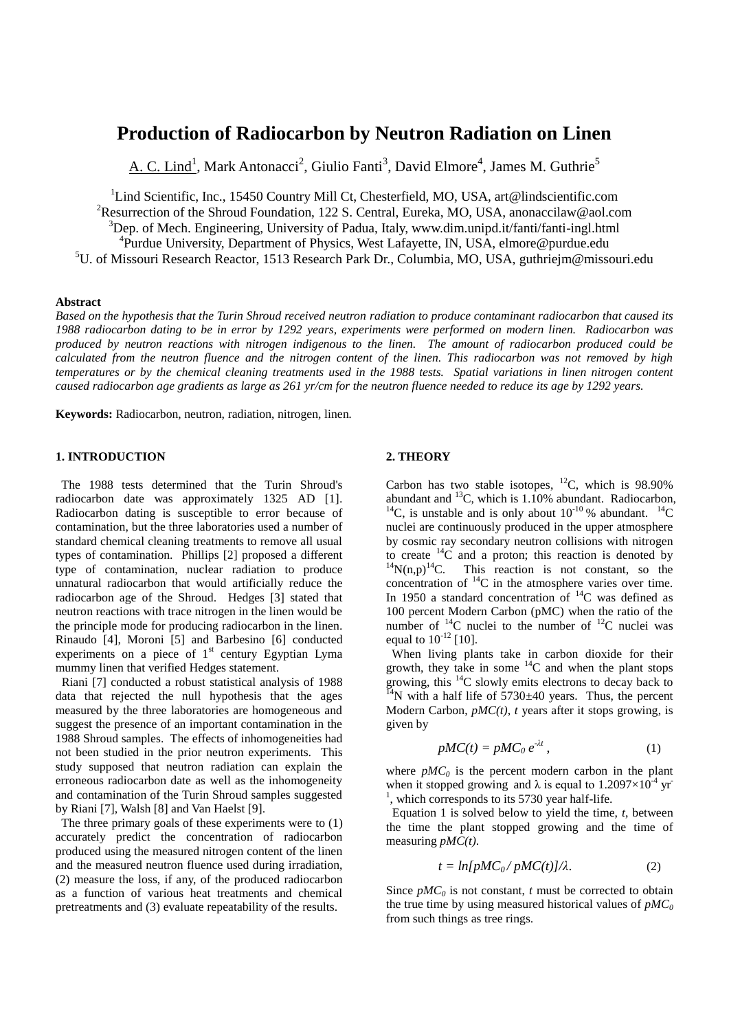# **Production of Radiocarbon by Neutron Radiation on Linen**

A. C. Lind<sup>1</sup>, Mark Antonacci<sup>2</sup>, Giulio Fanti<sup>3</sup>, David Elmore<sup>4</sup>, James M. Guthrie<sup>5</sup>

<sup>1</sup>Lind Scientific, Inc., 15450 Country Mill Ct, Chesterfield, MO, USA, art@lindscientific.com <sup>2</sup>Resurrection of the Shroud Foundation, 122 S. Central, Eureka, MO, USA, anonaccilaw@aol.com  $3$ Dep. of Mech. Engineering, University of Padua, Italy, www.dim.unipd.it/fanti/fanti-ingl.html <sup>4</sup>Purdue University, Department of Physics, West Lafayette, IN, USA, elmore@purdue.edu <sup>5</sup>U. of Missouri Research Reactor, 1513 Research Park Dr., Columbia, MO, USA, [guthriejm@missouri.edu](mailto:guthriejm@missouri.edu)

### **Abstract**

*Based on the hypothesis that the Turin Shroud received neutron radiation to produce contaminant radiocarbon that caused its 1988 radiocarbon dating to be in error by 1292 years, experiments were performed on modern linen. Radiocarbon was produced by neutron reactions with nitrogen indigenous to the linen. The amount of radiocarbon produced could be calculated from the neutron fluence and the nitrogen content of the linen. This radiocarbon was not removed by high temperatures or by the chemical cleaning treatments used in the 1988 tests. Spatial variations in linen nitrogen content caused radiocarbon age gradients as large as 261 yr/cm for the neutron fluence needed to reduce its age by 1292 years.*

**Keywords:** Radiocarbon, neutron, radiation, nitrogen, linen*.*

#### **1. INTRODUCTION**

 The 1988 tests determined that the Turin Shroud's radiocarbon date was approximately 1325 AD [1]. Radiocarbon dating is susceptible to error because of contamination, but the three laboratories used a number of standard chemical cleaning treatments to remove all usual types of contamination. Phillips [2] proposed a different type of contamination, nuclear radiation to produce unnatural radiocarbon that would artificially reduce the radiocarbon age of the Shroud. Hedges [3] stated that neutron reactions with trace nitrogen in the linen would be the principle mode for producing radiocarbon in the linen. Rinaudo [4], Moroni [5] and Barbesino [6] conducted experiments on a piece of  $1<sup>st</sup>$  century Egyptian Lyma mummy linen that verified Hedges statement.

 Riani [7] conducted a robust statistical analysis of 1988 data that rejected the null hypothesis that the ages measured by the three laboratories are homogeneous and suggest the presence of an important contamination in the 1988 Shroud samples. The effects of inhomogeneities had not been studied in the prior neutron experiments. This study supposed that neutron radiation can explain the erroneous radiocarbon date as well as the inhomogeneity and contamination of the Turin Shroud samples suggested by Riani [7], Walsh [8] and Van Haelst [9].

 The three primary goals of these experiments were to (1) accurately predict the concentration of radiocarbon produced using the measured nitrogen content of the linen and the measured neutron fluence used during irradiation, (2) measure the loss, if any, of the produced radiocarbon as a function of various heat treatments and chemical pretreatments and (3) evaluate repeatability of the results.

#### **2. THEORY**

Carbon has two stable isotopes,  $^{12}C$ , which is 98.90% abundant and  $^{13}C$ , which is 1.10% abundant. Radiocarbon, <sup>14</sup>C, is unstable and is only about  $10^{-10}$  % abundant. <sup>14</sup>C nuclei are continuously produced in the upper atmosphere by cosmic ray secondary neutron collisions with nitrogen to create  $^{14}$ C and a proton; this reaction is denoted by  $^{14}N(n,p)^{14}C$ . This reaction is not constant, so the concentration of  ${}^{14}C$  in the atmosphere varies over time. In 1950 a standard concentration of  $^{14}$ C was defined as 100 percent Modern Carbon (pMC) when the ratio of the number of  $^{14}$ C nuclei to the number of  $^{12}$ C nuclei was equal to  $10^{-12}$  [10].

 When living plants take in carbon dioxide for their growth, they take in some  $^{14}$ C and when the plant stops growing, this  ${}^{14}C$  slowly emits electrons to decay back to  $^{14}$ N with a half life of 5730 $\pm$ 40 years. Thus, the percent Modern Carbon, *pMC(t)*, *t* years after it stops growing, is given by

$$
pMC(t) = pMC_0 e^{-\lambda t}, \qquad (1)
$$

where  $pMC<sub>0</sub>$  is the percent modern carbon in the plant when it stopped growing and  $\lambda$  is equal to 1.2097 $\times 10^{-4}$  yr 1 , which corresponds to its 5730 year half-life.

 Equation 1 is solved below to yield the time, *t*, between the time the plant stopped growing and the time of measuring *pMC(t)*.

$$
t = ln[pMC_0/pMC(t)]/\lambda.
$$
 (2)

Since  $pMC_0$  is not constant, *t* must be corrected to obtain the true time by using measured historical values of  $pMC_0$ from such things as tree rings.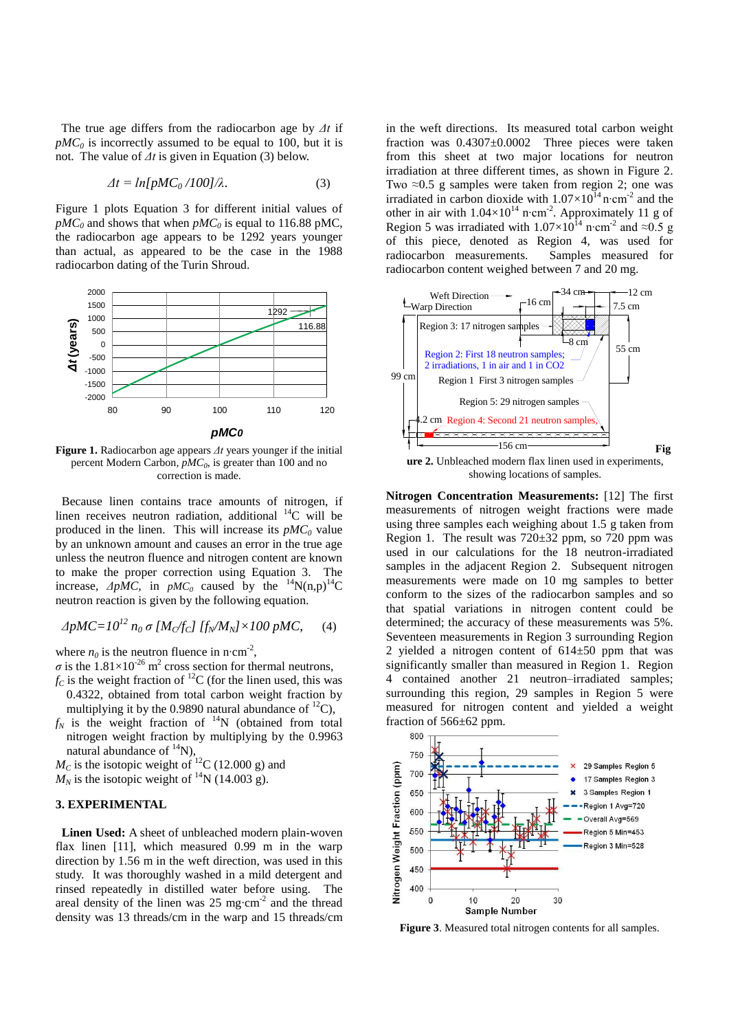The true age differs from the radiocarbon age by *Δt* if  $pMC<sub>0</sub>$  is incorrectly assumed to be equal to 100, but it is not. The value of *Δt* is given in Equation (3) below.

$$
\Delta t = \ln[pMC_0/100]/\lambda. \tag{3}
$$

Figure 1 plots Equation 3 for different initial values of  $pMC_0$  and shows that when  $pMC_0$  is equal to 116.88 pMC, the radiocarbon age appears to be 1292 years younger than actual, as appeared to be the case in the 1988 radiocarbon dating of the Turin Shroud.



**Figure 1.** Radiocarbon age appears *Δt* years younger if the initial percent Modern Carbon, *pMC<sup>0</sup>* , is greater than 100 and no correction is made.

 Because linen contains trace amounts of nitrogen, if linen receives neutron radiation, additional  ${}^{14}C$  will be produced in the linen. This will increase its *pMC<sup>0</sup>* value by an unknown amount and causes an error in the true age unless the neutron fluence and nitrogen content are known to make the proper correction using Equation 3. The increase,  $\Delta p \overline{MC}$ , in  $p \overline{MC}$  caused by the <sup>14</sup>N(n,p)<sup>14</sup>C neutron reaction is given by the following equation.

$$
\Delta pMC = 10^{12} n_0 \sigma [M_C/f_C] [f_N/M_N] \times 100 pMC, \quad (4)
$$

where  $n_0$  is the neutron fluence in n⋅cm<sup>-2</sup>,

 $\sigma$  is the 1.81×10<sup>-26</sup> m<sup>2</sup> cross section for thermal neutrons,

- $f_c$  is the weight fraction of <sup>12</sup>C (for the linen used, this was 0.4322, obtained from total carbon weight fraction by multiplying it by the 0.9890 natural abundance of  ${}^{12}$ C).
- $f_N$  is the weight fraction of  $14N$  (obtained from total nitrogen weight fraction by multiplying by the 0.9963 natural abundance of  $^{14}N$ ),

 $M<sub>C</sub>$  is the isotopic weight of <sup>12</sup>C (12.000 g) and  $M_N$  is the isotopic weight of <sup>14</sup>N (14.003 g).

## **3. EXPERIMENTAL**

 **Linen Used:** A sheet of unbleached modern plain-woven flax linen [11], which measured 0.99 m in the warp direction by 1.56 m in the weft direction, was used in this study. It was thoroughly washed in a mild detergent and rinsed repeatedly in distilled water before using. The areal density of the linen was 25 mg∙cm-2 and the thread density was 13 threads/cm in the warp and 15 threads/cm

in the weft directions. Its measured total carbon weight fraction was  $0.4307 \pm 0.0002$  Three pieces were taken from this sheet at two major locations for neutron irradiation at three different times, as shown in Figure 2. Two  $\approx 0.5$  g samples were taken from region 2; one was irradiated in carbon dioxide with  $1.07 \times 10^{14}$  n⋅cm<sup>-2</sup> and the other in air with  $1.04 \times 10^{14}$  n⋅cm<sup>-2</sup>. Approximately 11 g of Region 5 was irradiated with 1.07×10<sup>14</sup> n⋅cm<sup>-2</sup> and ≈0.5 g of this piece, denoted as Region 4, was used for radiocarbon measurements. Samples measured for radiocarbon content weighed between 7 and 20 mg.



showing locations of samples.

**Nitrogen Concentration Measurements:** [12] The first measurements of nitrogen weight fractions were made using three samples each weighing about 1.5 g taken from Region 1. The result was  $720\pm32$  ppm, so  $720$  ppm was used in our calculations for the 18 neutron-irradiated samples in the adjacent Region 2. Subsequent nitrogen measurements were made on 10 mg samples to better conform to the sizes of the radiocarbon samples and so that spatial variations in nitrogen content could be determined; the accuracy of these measurements was 5%. Seventeen measurements in Region 3 surrounding Region 2 yielded a nitrogen content of  $614±50$  ppm that was significantly smaller than measured in Region 1. Region 4 contained another 21 neutron–irradiated samples; surrounding this region, 29 samples in Region 5 were measured for nitrogen content and yielded a weight fraction of  $566\pm62$  ppm.



**Figure 3**. Measured total nitrogen contents for all samples.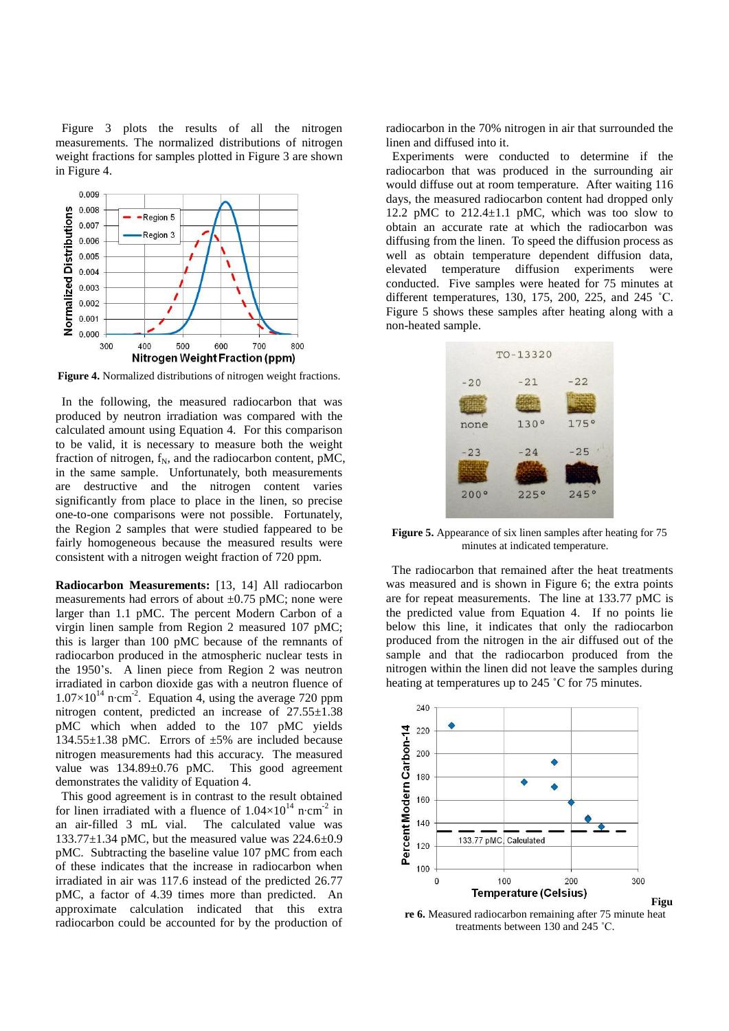Figure 3 plots the results of all the nitrogen measurements. The normalized distributions of nitrogen weight fractions for samples plotted in Figure 3 are shown in Figure 4.



**Figure 4.** Normalized distributions of nitrogen weight fractions.

 In the following, the measured radiocarbon that was produced by neutron irradiation was compared with the calculated amount using Equation 4. For this comparison to be valid, it is necessary to measure both the weight fraction of nitrogen,  $f_N$ , and the radiocarbon content, pMC, in the same sample. Unfortunately, both measurements are destructive and the nitrogen content varies significantly from place to place in the linen, so precise one-to-one comparisons were not possible. Fortunately, the Region 2 samples that were studied fappeared to be fairly homogeneous because the measured results were consistent with a nitrogen weight fraction of 720 ppm.

**Radiocarbon Measurements:** [13, 14] All radiocarbon measurements had errors of about  $\pm 0.75$  pMC; none were larger than 1.1 pMC. The percent Modern Carbon of a virgin linen sample from Region 2 measured 107 pMC; this is larger than 100 pMC because of the remnants of radiocarbon produced in the atmospheric nuclear tests in the 1950's. A linen piece from Region 2 was neutron irradiated in carbon dioxide gas with a neutron fluence of  $1.07\times10^{14}$  n⋅cm<sup>-2</sup>. Equation 4, using the average 720 ppm nitrogen content, predicted an increase of  $27.55\pm1.38$ pMC which when added to the 107 pMC yields 134.55±1.38 pMC. Errors of ±5% are included because nitrogen measurements had this accuracy. The measured value was  $134.89 \pm 0.76$  pMC. This good agreement demonstrates the validity of Equation 4.

 This good agreement is in contrast to the result obtained for linen irradiated with a fluence of  $1.04 \times 10^{14}$  n⋅cm<sup>-2</sup> in an air-filled 3 mL vial. The calculated value was  $133.77 \pm 1.34$  pMC, but the measured value was  $224.6 \pm 0.9$ pMC. Subtracting the baseline value 107 pMC from each of these indicates that the increase in radiocarbon when irradiated in air was 117.6 instead of the predicted 26.77 pMC, a factor of 4.39 times more than predicted. An approximate calculation indicated that this extra radiocarbon could be accounted for by the production of

radiocarbon in the 70% nitrogen in air that surrounded the linen and diffused into it.

 Experiments were conducted to determine if the radiocarbon that was produced in the surrounding air would diffuse out at room temperature. After waiting 116 days, the measured radiocarbon content had dropped only 12.2 pMC to  $212.4 \pm 1.1$  pMC, which was too slow to obtain an accurate rate at which the radiocarbon was diffusing from the linen. To speed the diffusion process as well as obtain temperature dependent diffusion data, elevated temperature diffusion experiments were conducted. Five samples were heated for 75 minutes at different temperatures, 130, 175, 200, 225, and 245 ˚C. Figure 5 shows these samples after heating along with a non-heated sample.



**Figure 5.** Appearance of six linen samples after heating for 75 minutes at indicated temperature.

 The radiocarbon that remained after the heat treatments was measured and is shown in Figure 6; the extra points are for repeat measurements. The line at 133.77 pMC is the predicted value from Equation 4. If no points lie below this line, it indicates that only the radiocarbon produced from the nitrogen in the air diffused out of the sample and that the radiocarbon produced from the nitrogen within the linen did not leave the samples during heating at temperatures up to 245 ˚C for 75 minutes.



**re 6.** Measured radiocarbon remaining after 75 minute heat treatments between 130 and 245 ˚C.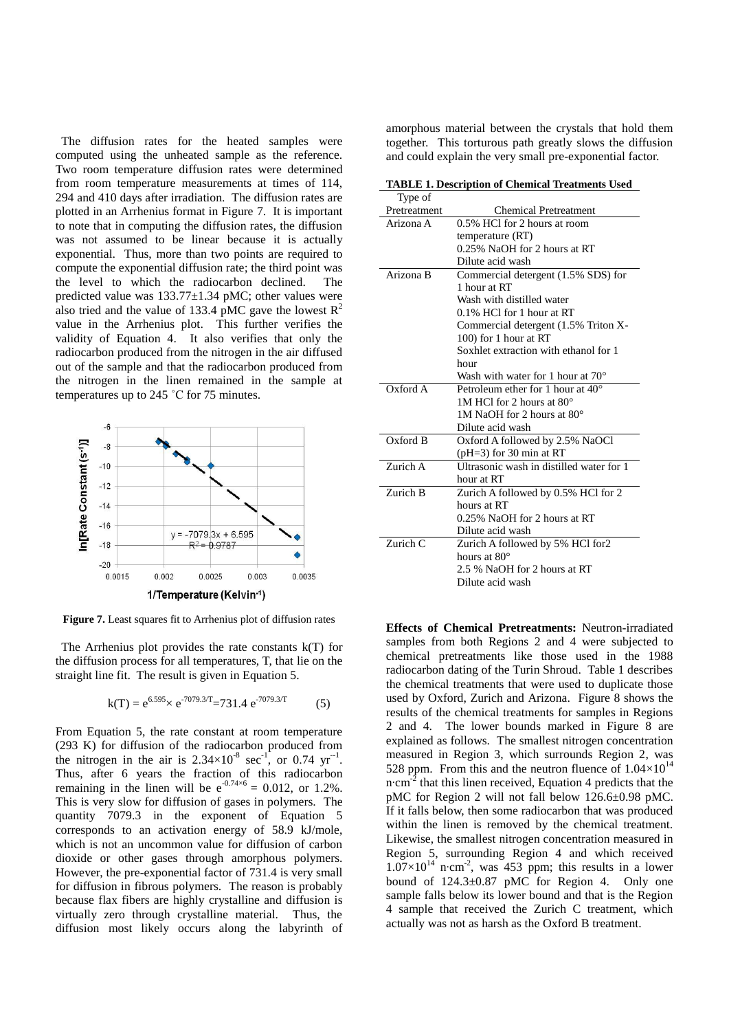The diffusion rates for the heated samples were computed using the unheated sample as the reference. Two room temperature diffusion rates were determined from room temperature measurements at times of 114, 294 and 410 days after irradiation. The diffusion rates are plotted in an Arrhenius format in Figure 7. It is important to note that in computing the diffusion rates, the diffusion was not assumed to be linear because it is actually exponential. Thus, more than two points are required to compute the exponential diffusion rate; the third point was the level to which the radiocarbon declined. The predicted value was 133.77±1.34 pMC; other values were also tried and the value of 133.4 pMC gave the lowest  $R^2$ value in the Arrhenius plot. This further verifies the validity of Equation 4. It also verifies that only the radiocarbon produced from the nitrogen in the air diffused out of the sample and that the radiocarbon produced from the nitrogen in the linen remained in the sample at temperatures up to 245 ˚C for 75 minutes.



**Figure 7.** Least squares fit to Arrhenius plot of diffusion rates

 The Arrhenius plot provides the rate constants k(T) for the diffusion process for all temperatures, T, that lie on the straight line fit. The result is given in Equation 5.

$$
k(T) = e^{6.595} \times e^{-7079.3/T} = 731.4 e^{-7079.3/T}
$$
 (5)

From Equation 5, the rate constant at room temperature (293 K) for diffusion of the radiocarbon produced from the nitrogen in the air is  $2.34 \times 10^{-8}$  sec<sup>-1</sup>, or 0.74 yr<sup>-1</sup>. Thus, after 6 years the fraction of this radiocarbon remaining in the linen will be  $e^{-0.74 \times 6} = 0.012$ , or 1.2%. This is very slow for diffusion of gases in polymers. The quantity 7079.3 in the exponent of Equation 5 corresponds to an activation energy of 58.9 kJ/mole, which is not an uncommon value for diffusion of carbon dioxide or other gases through amorphous polymers. However, the pre-exponential factor of 731.4 is very small for diffusion in fibrous polymers. The reason is probably because flax fibers are highly crystalline and diffusion is virtually zero through crystalline material. Thus, the diffusion most likely occurs along the labyrinth of

amorphous material between the crystals that hold them together. This torturous path greatly slows the diffusion and could explain the very small pre-exponential factor.

**TABLE 1. Description of Chemical Treatments Used**

| Type of      |                                            |
|--------------|--------------------------------------------|
| Pretreatment | <b>Chemical Pretreatment</b>               |
| Arizona A    | 0.5% HCl for 2 hours at room               |
|              | temperature (RT)                           |
|              | 0.25% NaOH for 2 hours at RT               |
|              | Dilute acid wash                           |
| Arizona B    | Commercial detergent (1.5% SDS) for        |
|              | 1 hour at RT                               |
|              | Wash with distilled water                  |
|              | $0.1\%$ HCl for 1 hour at RT               |
|              | Commercial detergent (1.5% Triton X-       |
|              | 100) for 1 hour at RT                      |
|              | Soxhlet extraction with ethanol for 1      |
|              | hour                                       |
|              | Wash with water for 1 hour at $70^{\circ}$ |
| Oxford A     | Petroleum ether for 1 hour at $40^{\circ}$ |
|              | 1M HCl for 2 hours at $80^\circ$           |
|              | 1M NaOH for 2 hours at $80^\circ$          |
|              | Dilute acid wash                           |
| Oxford B     | Oxford A followed by 2.5% NaOCl            |
|              | ( $pH=3$ ) for 30 min at RT                |
| Zurich A     | Ultrasonic wash in distilled water for 1   |
|              | hour at RT                                 |
| Zurich B     | Zurich A followed by 0.5% HCl for 2        |
|              | hours at RT                                |
|              | 0.25% NaOH for 2 hours at RT               |
|              | Dilute acid wash                           |
| Zurich C     | Zurich A followed by 5% HCl for2           |
|              | hours at $80^\circ$                        |
|              | 2.5 % NaOH for 2 hours at RT               |
|              | Dilute acid wash                           |
|              |                                            |

**Effects of Chemical Pretreatments:** Neutron-irradiated samples from both Regions 2 and 4 were subjected to chemical pretreatments like those used in the 1988 radiocarbon dating of the Turin Shroud. Table 1 describes the chemical treatments that were used to duplicate those used by Oxford, Zurich and Arizona. Figure 8 shows the results of the chemical treatments for samples in Regions 2 and 4. The lower bounds marked in Figure 8 are explained as follows. The smallest nitrogen concentration measured in Region 3, which surrounds Region 2, was 528 ppm. From this and the neutron fluence of  $1.04\times10^{14}$ n⋅cm<sup>-2</sup> that this linen received, Equation 4 predicts that the pMC for Region 2 will not fall below 126.6±0.98 pMC. If it falls below, then some radiocarbon that was produced within the linen is removed by the chemical treatment. Likewise, the smallest nitrogen concentration measured in Region 5, surrounding Region 4 and which received  $1.07\times10^{14}$  n⋅cm<sup>-2</sup>, was 453 ppm; this results in a lower bound of  $124.3\pm0.87$  pMC for Region 4. Only one sample falls below its lower bound and that is the Region 4 sample that received the Zurich C treatment, which actually was not as harsh as the Oxford B treatment.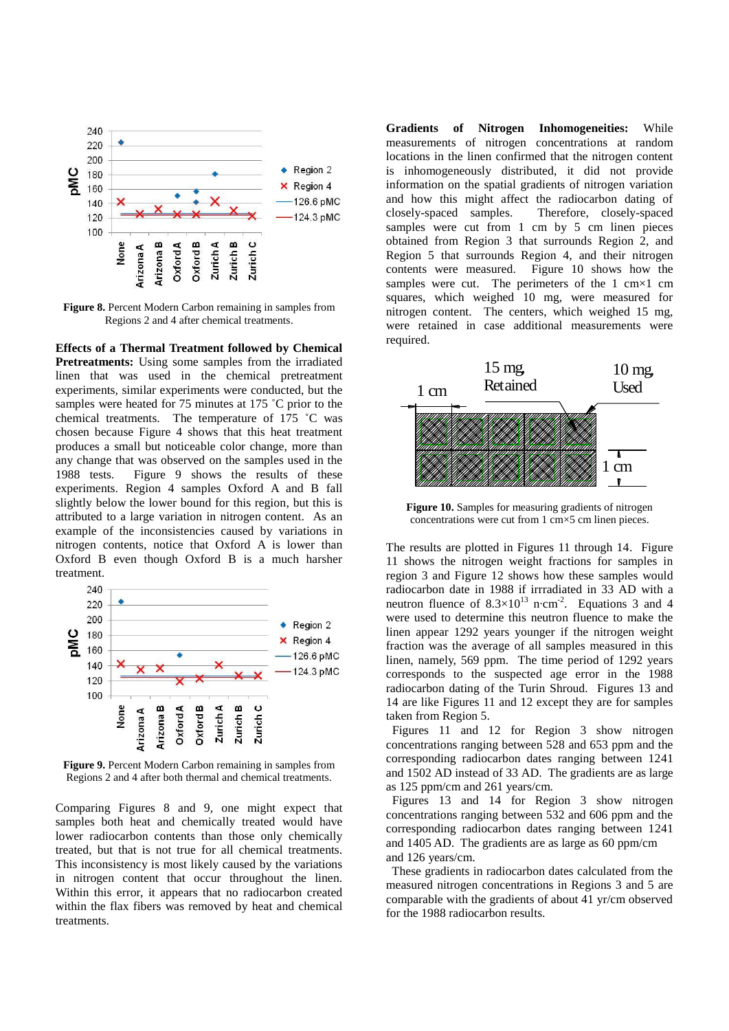

**Figure 8.** Percent Modern Carbon remaining in samples from Regions 2 and 4 after chemical treatments.

**Effects of a Thermal Treatment followed by Chemical Pretreatments:** Using some samples from the irradiated linen that was used in the chemical pretreatment experiments, similar experiments were conducted, but the samples were heated for 75 minutes at 175 °C prior to the chemical treatments. The temperature of 175 ˚C was chosen because Figure 4 shows that this heat treatment produces a small but noticeable color change, more than any change that was observed on the samples used in the 1988 tests. Figure 9 shows the results of these experiments. Region 4 samples Oxford A and B fall slightly below the lower bound for this region, but this is attributed to a large variation in nitrogen content. As an example of the inconsistencies caused by variations in nitrogen contents, notice that Oxford A is lower than Oxford B even though Oxford B is a much harsher treatment.



**Figure 9.** Percent Modern Carbon remaining in samples from Regions 2 and 4 after both thermal and chemical treatments.

Comparing Figures 8 and 9, one might expect that samples both heat and chemically treated would have lower radiocarbon contents than those only chemically treated, but that is not true for all chemical treatments. This inconsistency is most likely caused by the variations in nitrogen content that occur throughout the linen. Within this error, it appears that no radiocarbon created within the flax fibers was removed by heat and chemical treatments.

**Gradients of Nitrogen Inhomogeneities:** While measurements of nitrogen concentrations at random locations in the linen confirmed that the nitrogen content is inhomogeneously distributed, it did not provide information on the spatial gradients of nitrogen variation and how this might affect the radiocarbon dating of closely-spaced samples. Therefore, closely-spaced samples were cut from 1 cm by 5 cm linen pieces obtained from Region 3 that surrounds Region 2, and Region 5 that surrounds Region 4, and their nitrogen contents were measured. Figure 10 shows how the samples were cut. The perimeters of the 1 cm×1 cm squares, which weighed 10 mg, were measured for nitrogen content. The centers, which weighed 15 mg, were retained in case additional measurements were required.



Figure 10. Samples for measuring gradients of nitrogen concentrations were cut from 1 cm×5 cm linen pieces.

The results are plotted in Figures 11 through 14. Figure 11 shows the nitrogen weight fractions for samples in region 3 and Figure 12 shows how these samples would radiocarbon date in 1988 if irrradiated in 33 AD with a neutron fluence of  $8.3 \times 10^{13}$  n⋅cm<sup>-2</sup>. Equations 3 and 4 were used to determine this neutron fluence to make the linen appear 1292 years younger if the nitrogen weight fraction was the average of all samples measured in this linen, namely, 569 ppm. The time period of 1292 years corresponds to the suspected age error in the 1988 radiocarbon dating of the Turin Shroud. Figures 13 and 14 are like Figures 11 and 12 except they are for samples taken from Region 5.

 Figures 11 and 12 for Region 3 show nitrogen concentrations ranging between 528 and 653 ppm and the corresponding radiocarbon dates ranging between 1241 and 1502 AD instead of 33 AD. The gradients are as large as 125 ppm/cm and 261 years/cm.

 Figures 13 and 14 for Region 3 show nitrogen concentrations ranging between 532 and 606 ppm and the corresponding radiocarbon dates ranging between 1241 and 1405 AD. The gradients are as large as 60 ppm/cm and 126 years/cm.

 These gradients in radiocarbon dates calculated from the measured nitrogen concentrations in Regions 3 and 5 are comparable with the gradients of about 41 yr/cm observed for the 1988 radiocarbon results.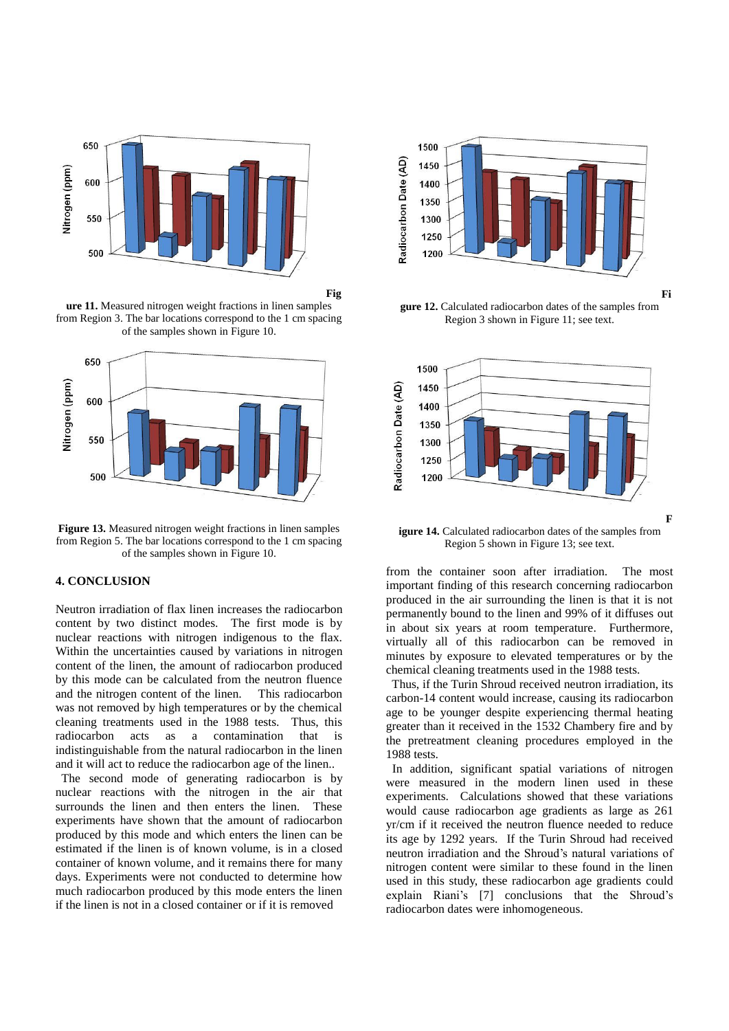

**Fig**

**ure 11.** Measured nitrogen weight fractions in linen samples from Region 3. The bar locations correspond to the 1 cm spacing of the samples shown in Figure 10.



**Figure 13.** Measured nitrogen weight fractions in linen samples from Region 5. The bar locations correspond to the 1 cm spacing of the samples shown in Figure 10.

## **4. CONCLUSION**

Neutron irradiation of flax linen increases the radiocarbon content by two distinct modes. The first mode is by nuclear reactions with nitrogen indigenous to the flax. Within the uncertainties caused by variations in nitrogen content of the linen, the amount of radiocarbon produced by this mode can be calculated from the neutron fluence and the nitrogen content of the linen. This radiocarbon was not removed by high temperatures or by the chemical cleaning treatments used in the 1988 tests. Thus, this radiocarbon acts as a contamination that is indistinguishable from the natural radiocarbon in the linen and it will act to reduce the radiocarbon age of the linen..

 The second mode of generating radiocarbon is by nuclear reactions with the nitrogen in the air that surrounds the linen and then enters the linen. These experiments have shown that the amount of radiocarbon produced by this mode and which enters the linen can be estimated if the linen is of known volume, is in a closed container of known volume, and it remains there for many days. Experiments were not conducted to determine how much radiocarbon produced by this mode enters the linen if the linen is not in a closed container or if it is removed



**gure 12.** Calculated radiocarbon dates of the samples from Region 3 shown in Figure 11; see text.



**igure 14.** Calculated radiocarbon dates of the samples from Region 5 shown in Figure 13; see text.

from the container soon after irradiation. The most important finding of this research concerning radiocarbon produced in the air surrounding the linen is that it is not permanently bound to the linen and 99% of it diffuses out in about six years at room temperature. Furthermore, virtually all of this radiocarbon can be removed in minutes by exposure to elevated temperatures or by the chemical cleaning treatments used in the 1988 tests.

 Thus, if the Turin Shroud received neutron irradiation, its carbon-14 content would increase, causing its radiocarbon age to be younger despite experiencing thermal heating greater than it received in the 1532 Chambery fire and by the pretreatment cleaning procedures employed in the 1988 tests.

 In addition, significant spatial variations of nitrogen were measured in the modern linen used in these experiments. Calculations showed that these variations would cause radiocarbon age gradients as large as 261 yr/cm if it received the neutron fluence needed to reduce its age by 1292 years. If the Turin Shroud had received neutron irradiation and the Shroud's natural variations of nitrogen content were similar to these found in the linen used in this study, these radiocarbon age gradients could explain Riani's [7] conclusions that the Shroud's radiocarbon dates were inhomogeneous.

**Fi**

**F**